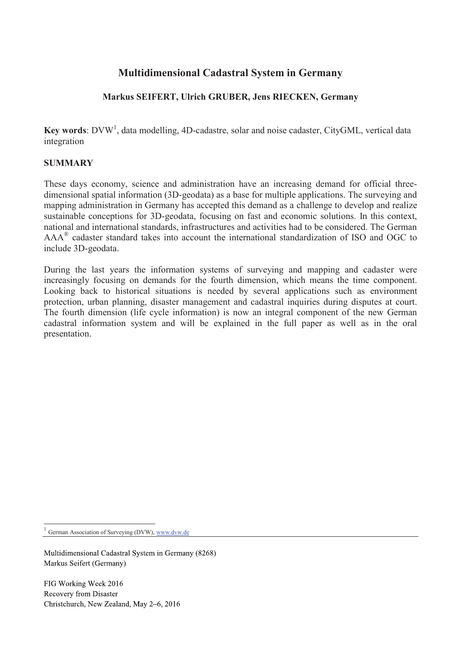# **Multidimensional Cadastral System in Germany**

## **Markus SEIFERT, Ulrich GRUBER, Jens RIECKEN, Germany**

Key words: DVW<sup>1</sup>, data modelling, 4D-cadastre, solar and noise cadaster, CityGML, vertical data integration

### **SUMMARY**

These days economy, science and administration have an increasing demand for official threedimensional spatial information (3D-geodata) as a base for multiple applications. The surveying and mapping administration in Germany has accepted this demand as a challenge to develop and realize sustainable conceptions for 3D-geodata, focusing on fast and economic solutions. In this context, national and international standards, infrastructures and activities had to be considered. The German  $AAA^{\circledast}$  cadaster standard takes into account the international standardization of ISO and OGC to include 3D-geodata.

During the last years the information systems of surveying and mapping and cadaster were increasingly focusing on demands for the fourth dimension, which means the time component. Looking back to historical situations is needed by several applications such as environment protection, urban planning, disaster management and cadastral inquiries during disputes at court. The fourth dimension (life cycle information) is now an integral component of the new German cadastral information system and will be explained in the full paper as well as in the oral presentation.

1 German Association of Surveying (DVW), www.dvw.de

 $\overline{a}$ 

Multidimensional Cadastral System in Germany (8268) Markus Seifert (Germany)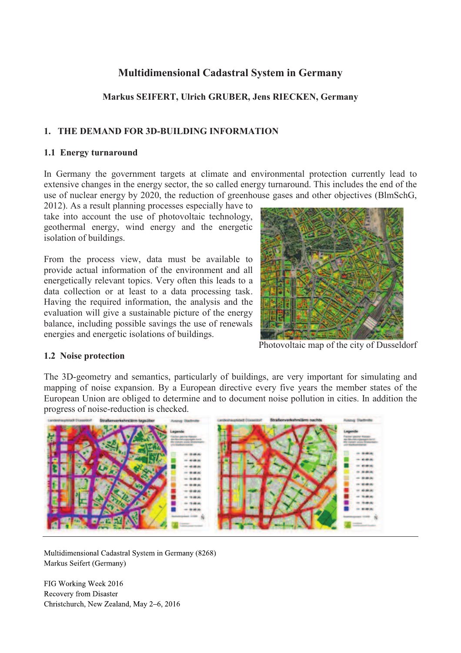# **Multidimensional Cadastral System in Germany**

## **Markus SEIFERT, Ulrich GRUBER, Jens RIECKEN, Germany**

### **1. THE DEMAND FOR 3D-BUILDING INFORMATION**

#### **1.1 Energy turnaround**

In Germany the government targets at climate and environmental protection currently lead to extensive changes in the energy sector, the so called energy turnaround. This includes the end of the use of nuclear energy by 2020, the reduction of greenhouse gases and other objectives (BlmSchG,

2012). As a result planning processes especially have to take into account the use of photovoltaic technology, geothermal energy, wind energy and the energetic isolation of buildings.

From the process view, data must be available to provide actual information of the environment and all energetically relevant topics. Very often this leads to a data collection or at least to a data processing task. Having the required information, the analysis and the evaluation will give a sustainable picture of the energy balance, including possible savings the use of renewals energies and energetic isolations of buildings.



Photovoltaic map of the city of Dusseldorf

### **1.2 Noise protection**

The 3D-geometry and semantics, particularly of buildings, are very important for simulating and mapping of noise expansion. By a European directive every five years the member states of the European Union are obliged to determine and to document noise pollution in cities. In addition the progress of noise-reduction is checked.



Multidimensional Cadastral System in Germany (8268) Markus Seifert (Germany)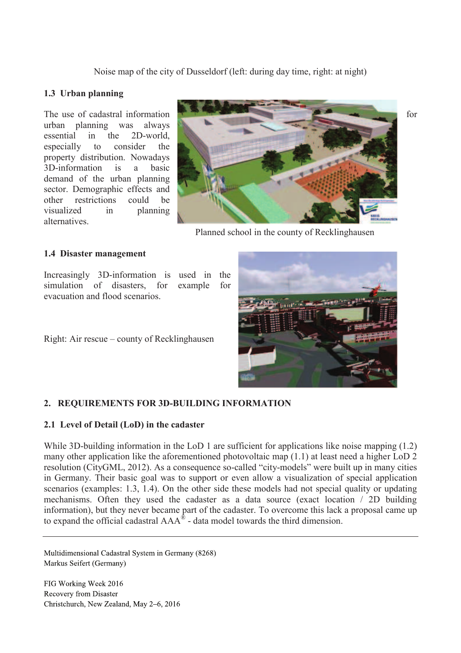Noise map of the city of Dusseldorf (left: during day time, right: at night)

#### **1.3 Urban planning**

urban planning was always essential in the 2D-world, especially to consider the property distribution. Nowadays 3D-information is a basic demand of the urban planning sector. Demographic effects and other restrictions could be visualized in planning alternatives.



Planned school in the county of Recklinghausen

#### **1.4 Disaster management**

Increasingly 3D-information is used in the simulation of disasters, for example for evacuation and flood scenarios.

Right: Air rescue – county of Recklinghausen



### **2. REQUIREMENTS FOR 3D-BUILDING INFORMATION**

### **2.1 Level of Detail (LoD) in the cadaster**

While 3D-building information in the LoD 1 are sufficient for applications like noise mapping (1.2) many other application like the aforementioned photovoltaic map (1.1) at least need a higher LoD 2 resolution (CityGML, 2012). As a consequence so-called "city-models" were built up in many cities in Germany. Their basic goal was to support or even allow a visualization of special application scenarios (examples: 1.3, 1.4). On the other side these models had not special quality or updating mechanisms. Often they used the cadaster as a data source (exact location / 2D building information), but they never became part of the cadaster. To overcome this lack a proposal came up to expand the official cadastral  $AAA^{\circ}$  - data model towards the third dimension.

Multidimensional Cadastral System in Germany (8268) Markus Seifert (Germany)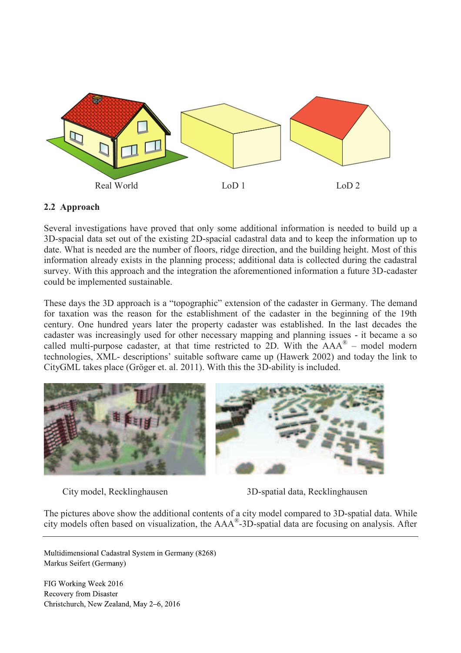

### **2.2 Approach**

Several investigations have proved that only some additional information is needed to build up a 3D-spacial data set out of the existing 2D-spacial cadastral data and to keep the information up to date. What is needed are the number of floors, ridge direction, and the building height. Most of this information already exists in the planning process; additional data is collected during the cadastral survey. With this approach and the integration the aforementioned information a future 3D-cadaster could be implemented sustainable.

These days the 3D approach is a "topographic" extension of the cadaster in Germany. The demand for taxation was the reason for the establishment of the cadaster in the beginning of the 19th century. One hundred years later the property cadaster was established. In the last decades the cadaster was increasingly used for other necessary mapping and planning issues - it became a so called multi-purpose cadaster, at that time restricted to 2D. With the  $AAA^{\circledR}$  – model modern technologies, XML- descriptions' suitable software came up (Hawerk 2002) and today the link to CityGML takes place (Gröger et. al. 2011). With this the 3D-ability is included.



City model, Recklinghausen 3D-spatial data, Recklinghausen

The pictures above show the additional contents of a city model compared to 3D-spatial data. While city models often based on visualization, the AAA® -3D-spatial data are focusing on analysis. After

Multidimensional Cadastral System in Germany (8268) Markus Seifert (Germany)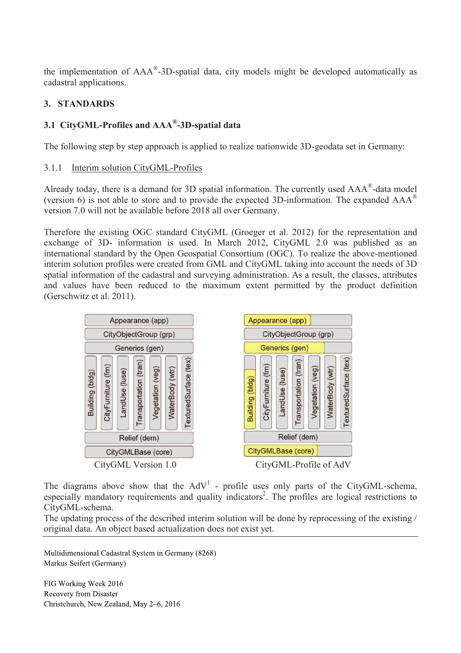the implementation of AAA®-3D-spatial data, city models might be developed automatically as cadastral applications.

## **3. STANDARDS**

# **3.1 CityGML-Profiles and AAA® -3D-spatial data**

The following step by step approach is applied to realize nationwide 3D-geodata set in Germany:

### 3.1.1 Interim solution CityGML-Profiles

Already today, there is a demand for 3D spatial information. The currently used  $AAA^{\circ}$ -data model (version 6) is not able to store and to provide the expected 3D-information. The expanded  $AAA^{\circledR}$ version 7.0 will not be available before 2018 all over Germany.

Therefore the existing OGC standard CityGML (Groeger et al. 2012) for the representation and exchange of 3D- information is used. In March 2012, CityGML 2.0 was published as an international standard by the Open Geospatial Consortium (OGC). To realize the above-mentioned interim solution profiles were created from GML and CityGML taking into account the needs of 3D spatial information of the cadastral and surveying administration. As a result, the classes, attributes and values have been reduced to the maximum extent permitted by the product definition (Gerschwitz et al. 2011).



The diagrams above show that the  $AdV<sup>1</sup>$  - profile uses only parts of the CityGML-schema, especially mandatory requirements and quality indicators<sup>2</sup>. The profiles are logical restrictions to CityGML-schema.

The updating process of the described interim solution will be done by reprocessing of the existing / original data. An object based actualization does not exist yet.

Multidimensional Cadastral System in Germany (8268) Markus Seifert (Germany)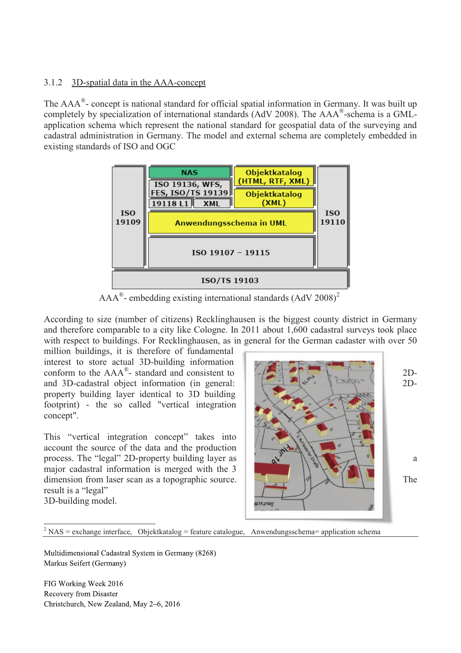### 3.1.2 3D-spatial data in the AAA-concept

The  $AAA^{\circ}$ - concept is national standard for official spatial information in Germany. It was built up completely by specialization of international standards (AdV 2008). The AAA®-schema is a GMLapplication schema which represent the national standard for geospatial data of the surveying and cadastral administration in Germany. The model and external schema are completely embedded in existing standards of ISO and OGC



 $AAA^{\circ}$ - embedding existing international standards  $(AdV 2008)^2$ 

According to size (number of citizens) Recklinghausen is the biggest county district in Germany and therefore comparable to a city like Cologne. In 2011 about 1,600 cadastral surveys took place with respect to buildings. For Recklinghausen, as in general for the German cadaster with over 50

million buildings, it is therefore of fundamental interest to store actual 3D-building information conform to the  $AAA^{\circ}$ - standard and consistent to  $\left[\begin{array}{ccc} 1 & 1 \\ -1 & 1 \end{array}\right]$  2Dand 3D-cadastral object information (in general: 2Dproperty building layer identical to 3D building footprint) - the so called "vertical integration concept".

This "vertical integration concept" takes into account the source of the data and the production process. The "legal" 2D-property building layer as  $\mathbb{R}^3$   $\mathbb{R}^3$ major cadastral information is merged with the 3 dimension from laser scan as a topographic source.  $\|\cdot\|$ result is a "legal" 3D-building model.



 $\overline{a}$  $2 NAS =$  exchange interface, Objektkatalog = feature catalogue, Anwendungsschema= application schema

Multidimensional Cadastral System in Germany (8268) Markus Seifert (Germany)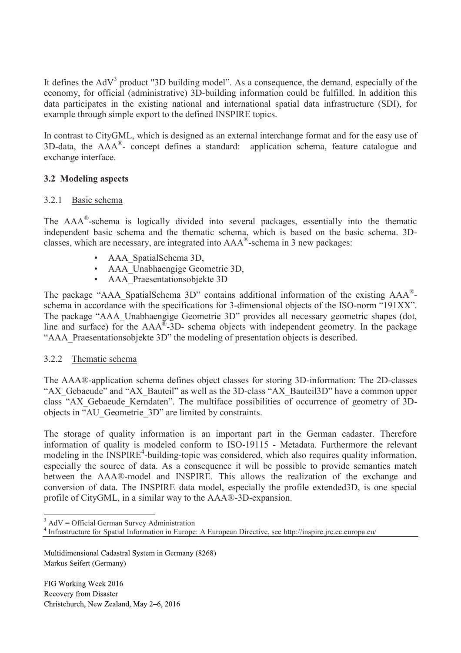It defines the  $AdV<sup>3</sup>$  product "3D building model". As a consequence, the demand, especially of the economy, for official (administrative) 3D-building information could be fulfilled. In addition this data participates in the existing national and international spatial data infrastructure (SDI), for example through simple export to the defined INSPIRE topics.

In contrast to CityGML, which is designed as an external interchange format and for the easy use of 3D-data, the AAA® - concept defines a standard: application schema, feature catalogue and exchange interface.

### **3.2 Modeling aspects**

### 3.2.1 Basic schema

The AAA®-schema is logically divided into several packages, essentially into the thematic independent basic schema and the thematic schema, which is based on the basic schema. 3Dclasses, which are necessary, are integrated into AAA® -schema in 3 new packages:

- AAA\_SpatialSchema 3D,
- AAA Unabhaengige Geometrie 3D,
- AAA Praesentationsobjekte 3D

The package "AAA\_SpatialSchema 3D" contains additional information of the existing AAA®schema in accordance with the specifications for 3-dimensional objects of the ISO-norm "191XX". The package "AAA\_Unabhaengige Geometrie 3D" provides all necessary geometric shapes (dot, line and surface) for the  $AAA^{\mathbb{B}}$ -3D- schema objects with independent geometry. In the package "AAA\_Praesentationsobjekte 3D" the modeling of presentation objects is described.

### 3.2.2 Thematic schema

The AAA®-application schema defines object classes for storing 3D-information: The 2D-classes "AX\_Gebaeude" and "AX\_Bauteil" as well as the 3D-class "AX\_Bauteil3D" have a common upper class "AX\_Gebaeude\_Kerndaten". The multiface possibilities of occurrence of geometry of 3Dobjects in "AU\_Geometrie\_3D" are limited by constraints.

The storage of quality information is an important part in the German cadaster. Therefore information of quality is modeled conform to ISO-19115 - Metadata. Furthermore the relevant modeling in the INSPIRE<sup>4</sup>-building-topic was considered, which also requires quality information, especially the source of data. As a consequence it will be possible to provide semantics match between the AAA®-model and INSPIRE. This allows the realization of the exchange and conversion of data. The INSPIRE data model, especially the profile extended3D, is one special profile of CityGML, in a similar way to the AAA®-3D-expansion.

3 AdV = Official German Survey Administration

Multidimensional Cadastral System in Germany (8268) Markus Seifert (Germany)

<sup>4</sup> Infrastructure for Spatial Information in Europe: A European Directive, see http://inspire.jrc.ec.europa.eu/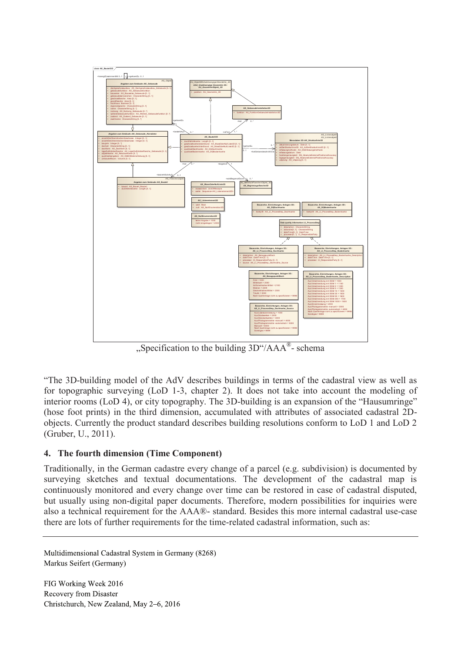

"Specification to the building  $3D''/AAA^{\circledR}$ - schema

"The 3D-building model of the AdV describes buildings in terms of the cadastral view as well as for topographic surveying (LoD 1-3, chapter 2). It does not take into account the modeling of interior rooms (LoD 4), or city topography. The 3D-building is an expansion of the "Hausumringe" (hose foot prints) in the third dimension, accumulated with attributes of associated cadastral 2Dobjects. Currently the product standard describes building resolutions conform to LoD 1 and LoD 2 (Gruber, U., 2011).

## **4. The fourth dimension (Time Component)**

Traditionally, in the German cadastre every change of a parcel (e.g. subdivision) is documented by surveying sketches and textual documentations. The development of the cadastral map is continuously monitored and every change over time can be restored in case of cadastral disputed, but usually using non-digital paper documents. Therefore, modern possibilities for inquiries were also a technical requirement for the AAA®- standard. Besides this more internal cadastral use-case there are lots of further requirements for the time-related cadastral information, such as:

Multidimensional Cadastral System in Germany (8268) Markus Seifert (Germany)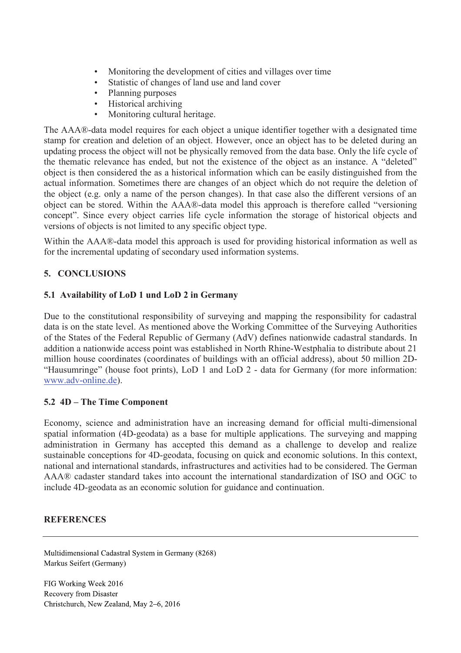- Monitoring the development of cities and villages over time<br>• Statistic of changes of land use and land cover
- Statistic of changes of land use and land cover
- Planning purposes
- Historical archiving
- Monitoring cultural heritage.

The AAA®-data model requires for each object a unique identifier together with a designated time stamp for creation and deletion of an object. However, once an object has to be deleted during an updating process the object will not be physically removed from the data base. Only the life cycle of the thematic relevance has ended, but not the existence of the object as an instance. A "deleted" object is then considered the as a historical information which can be easily distinguished from the actual information. Sometimes there are changes of an object which do not require the deletion of the object (e.g. only a name of the person changes). In that case also the different versions of an object can be stored. Within the AAA®-data model this approach is therefore called "versioning concept". Since every object carries life cycle information the storage of historical objects and versions of objects is not limited to any specific object type.

Within the AAA®-data model this approach is used for providing historical information as well as for the incremental updating of secondary used information systems.

## **5. CONCLUSIONS**

### **5.1 Availability of LoD 1 und LoD 2 in Germany**

Due to the constitutional responsibility of surveying and mapping the responsibility for cadastral data is on the state level. As mentioned above the Working Committee of the Surveying Authorities of the States of the Federal Republic of Germany (AdV) defines nationwide cadastral standards. In addition a nationwide access point was established in North Rhine-Westphalia to distribute about 21 million house coordinates (coordinates of buildings with an official address), about 50 million 2D- "Hausumringe" (house foot prints), LoD 1 and LoD 2 - data for Germany (for more information: www.adv-online.de).

### **5.2 4D – The Time Component**

Economy, science and administration have an increasing demand for official multi-dimensional spatial information (4D-geodata) as a base for multiple applications. The surveying and mapping administration in Germany has accepted this demand as a challenge to develop and realize sustainable conceptions for 4D-geodata, focusing on quick and economic solutions. In this context, national and international standards, infrastructures and activities had to be considered. The German AAA® cadaster standard takes into account the international standardization of ISO and OGC to include 4D-geodata as an economic solution for guidance and continuation.

#### **REFERENCES**

Multidimensional Cadastral System in Germany (8268) Markus Seifert (Germany)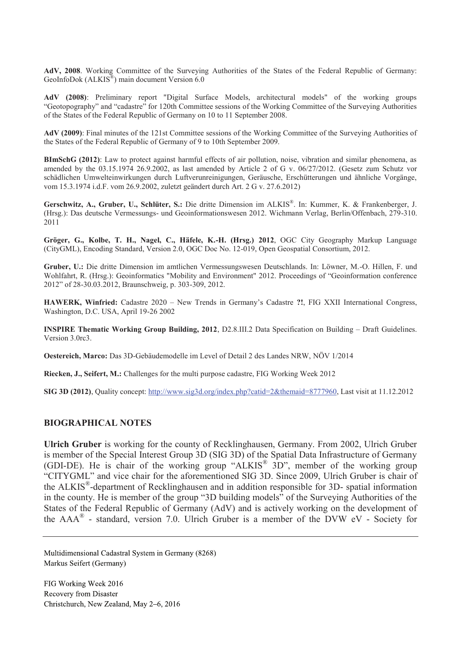**AdV, 2008**. Working Committee of the Surveying Authorities of the States of the Federal Republic of Germany: GeoInfoDok (ALKIS<sup>®</sup>) main document Version 6.0

**AdV (2008)**: Preliminary report "Digital Surface Models, architectural models" of the working groups "Geotopography" and "cadastre" for 120th Committee sessions of the Working Committee of the Surveying Authorities of the States of the Federal Republic of Germany on 10 to 11 September 2008.

**AdV (2009)**: Final minutes of the 121st Committee sessions of the Working Committee of the Surveying Authorities of the States of the Federal Republic of Germany of 9 to 10th September 2009.

**BImSchG (2012)**: Law to protect against harmful effects of air pollution, noise, vibration and similar phenomena, as amended by the 03.15.1974 26.9.2002, as last amended by Article 2 of G v. 06/27/2012. (Gesetz zum Schutz vor schädlichen Umwelteinwirkungen durch Luftverunreinigungen, Geräusche, Erschütterungen und ähnliche Vorgänge, vom 15.3.1974 i.d.F. vom 26.9.2002, zuletzt geändert durch Art. 2 G v. 27.6.2012)

**Gerschwitz, A., Gruber, U., Schlüter, S.:** Die dritte Dimension im ALKIS® . In: Kummer, K. & Frankenberger, J. (Hrsg.): Das deutsche Vermessungs- und Geoinformationswesen 2012. Wichmann Verlag, Berlin/Offenbach, 279-310. 2011

**Gröger, G., Kolbe, T. H., Nagel, C., Häfele, K.-H. (Hrsg.) 2012**, OGC City Geography Markup Language (CityGML), Encoding Standard, Version 2.0, OGC Doc No. 12-019, Open Geospatial Consortium, 2012.

**Gruber, U.:** Die dritte Dimension im amtlichen Vermessungswesen Deutschlands. In: Löwner, M.-O. Hillen, F. und Wohlfahrt, R. (Hrsg.): Geoinformatics "Mobility and Environment" 2012. Proceedings of "Geoinformation conference 2012" of 28-30.03.2012, Braunschweig, p. 303-309, 2012.

**HAWERK, Winfried:** Cadastre 2020 – New Trends in Germany's Cadastre **?!**, FIG XXII International Congress, Washington, D.C. USA, April 19-26 2002

**INSPIRE Thematic Working Group Building, 2012**, D2.8.III.2 Data Specification on Building – Draft Guidelines. Version 3.0rc3.

**Oestereich, Marco:** Das 3D-Gebäudemodelle im Level of Detail 2 des Landes NRW, NÖV 1/2014

**Riecken, J., Seifert, M.:** Challenges for the multi purpose cadastre, FIG Working Week 2012

**SIG 3D (2012)**, Quality concept: http://www.sig3d.org/index.php?catid=2&themaid=8777960, Last visit at 11.12.2012

#### **BIOGRAPHICAL NOTES**

**Ulrich Gruber** is working for the county of Recklinghausen, Germany. From 2002, Ulrich Gruber is member of the Special Interest Group 3D (SIG 3D) of the Spatial Data Infrastructure of Germany (GDI-DE). He is chair of the working group "ALKIS® 3D", member of the working group "CITYGML" and vice chair for the aforementioned SIG 3D. Since 2009, Ulrich Gruber is chair of the ALKIS® -department of Recklinghausen and in addition responsible for 3D- spatial information in the county. He is member of the group "3D building models" of the Surveying Authorities of the States of the Federal Republic of Germany (AdV) and is actively working on the development of the  $AAA^{\circledR}$  - standard, version 7.0. Ulrich Gruber is a member of the DVW eV - Society for

Multidimensional Cadastral System in Germany (8268) Markus Seifert (Germany)